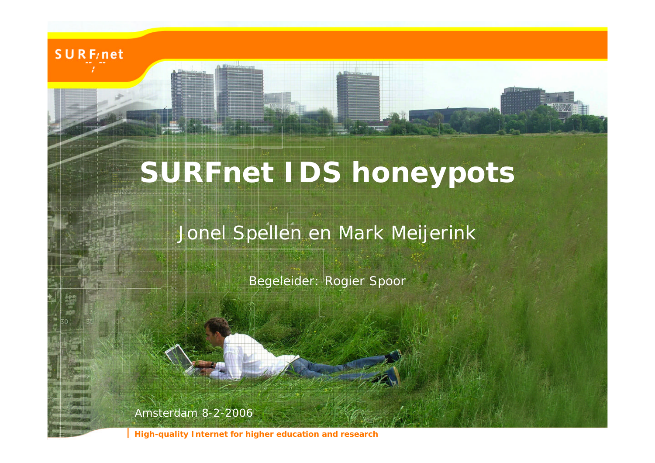

# **SURFnet IDS honeypots**

#### Jonel Spellen en Mark Meijerink

Begeleider: Rogier Spoor

Amsterdam 8-2-2006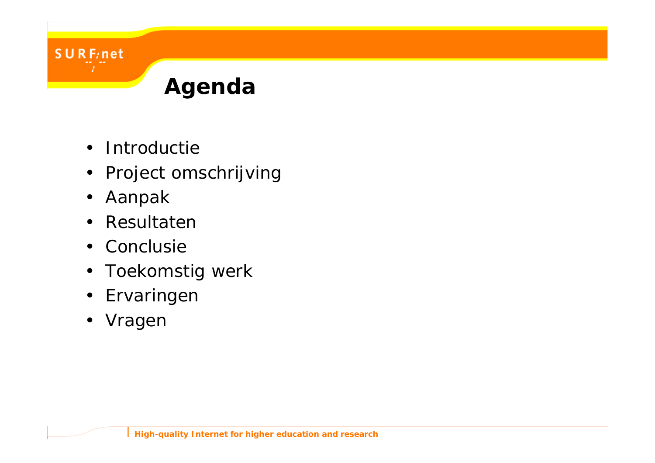

- Introductie
- Project omschrijving
- Aanpak

- Resultaten
- Conclusie
- Toekomstig werk
- Ervaringen
- Vragen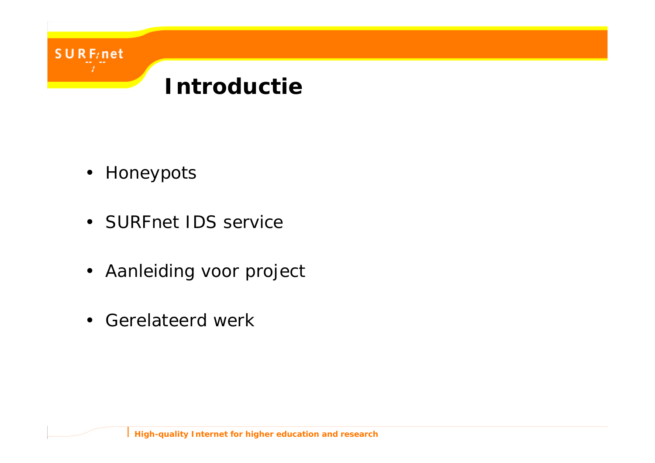

• Honeypots

- SURFnet IDS service
- Aanleiding voor project
- Gerelateerd werk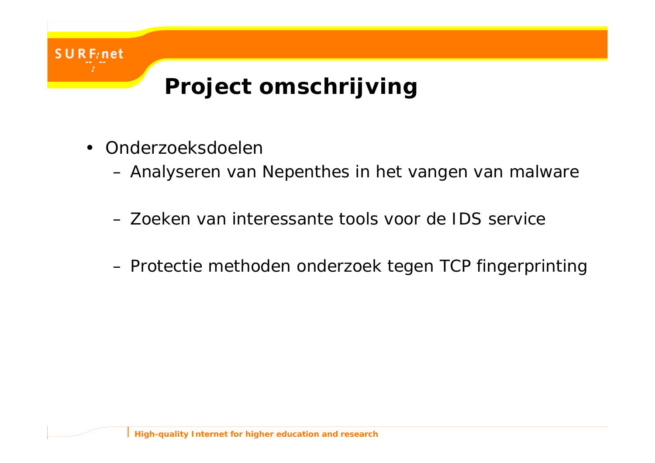

• Onderzoeksdoelen

- Analyseren van Nepenthes in het vangen van malware
- Zoeken van interessante tools voor de IDS service
- Protectie methoden onderzoek tegen TCP fingerprinting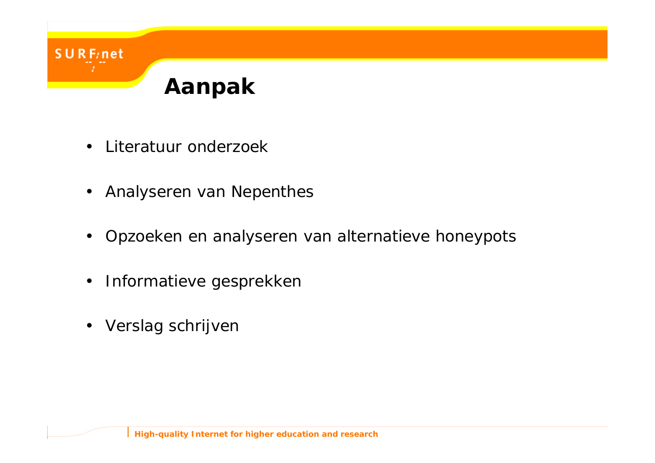### **Aanpak**

• Literatuur onderzoek

- Analyseren van Nepenthes
- Opzoeken en analyseren van alternatieve honeypots
- Informatieve gesprekken
- Verslag schrijven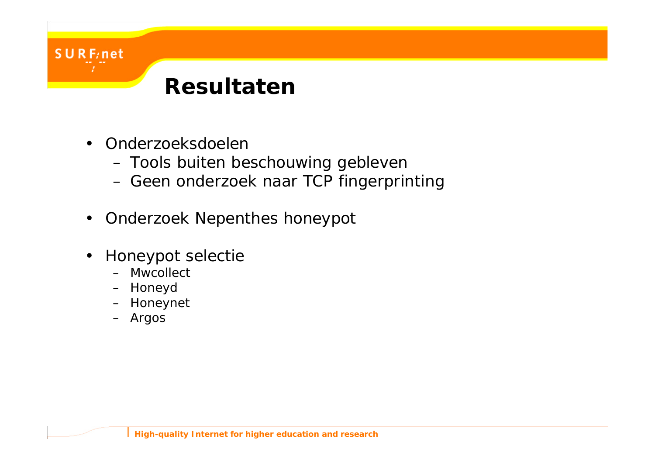#### **Resultaten**

• Onderzoeksdoelen

- Tools buiten beschouwing gebleven
- Geen onderzoek naar TCP fingerprinting
- Onderzoek Nepenthes honeypot
- Honeypot selectie
	- Mwcollect
	- Honeyd
	- Honeynet
	- Argos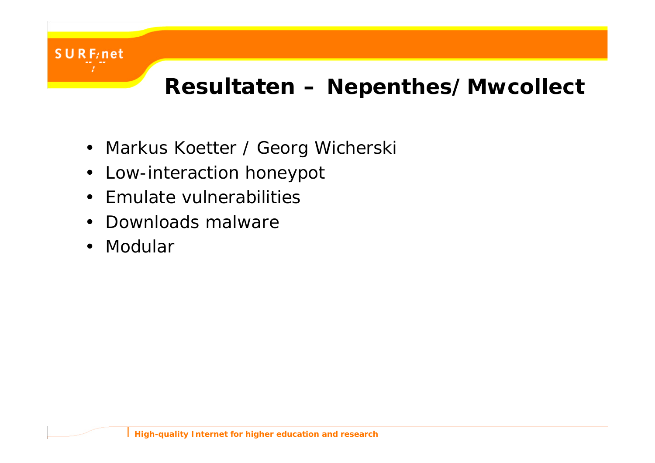

#### **Resultaten – Nepenthes/Mwcollect**

- Markus Koetter / Georg Wicherski
- Low-interaction honeypot
- Emulate vulnerabilities
- Downloads malware
- Modular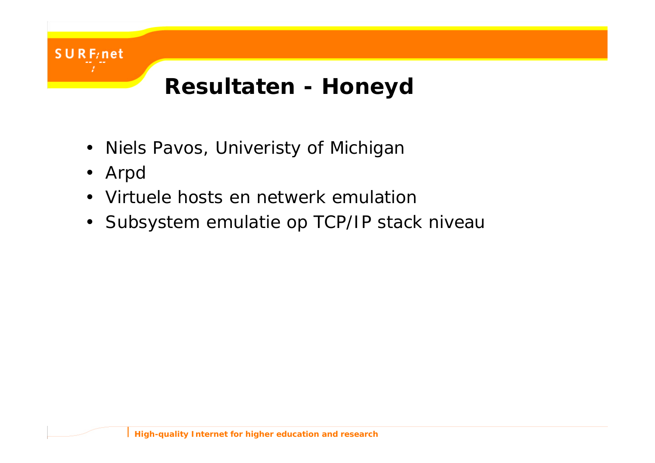

- Niels Pavos, Univeristy of Michigan
- Arpd

 $UR$  F<sub>i</sub>net

- Virtuele hosts en netwerk emulation
- Subsystem emulatie op TCP/IP stack niveau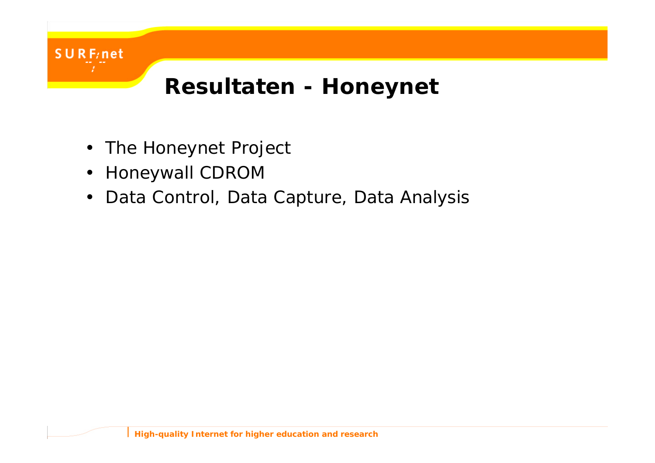

### **Resultaten - Honeynet**

- The Honeynet Project
- Honeywall CDROM
- Data Control, Data Capture, Data Analysis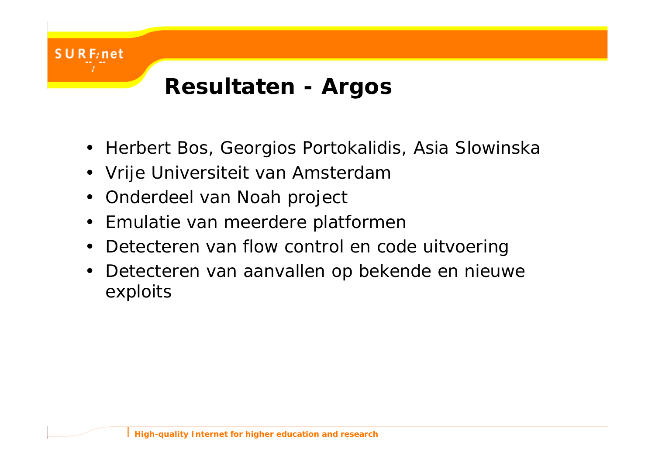

- Herbert Bos, Georgios Portokalidis, Asia Slowinska
- Vrije Universiteit van Amsterdam
- Onderdeel van Noah project

- Emulatie van meerdere platformen
- Detecteren van flow control en code uitvoering
- Detecteren van aanvallen op bekende en nieuwe exploits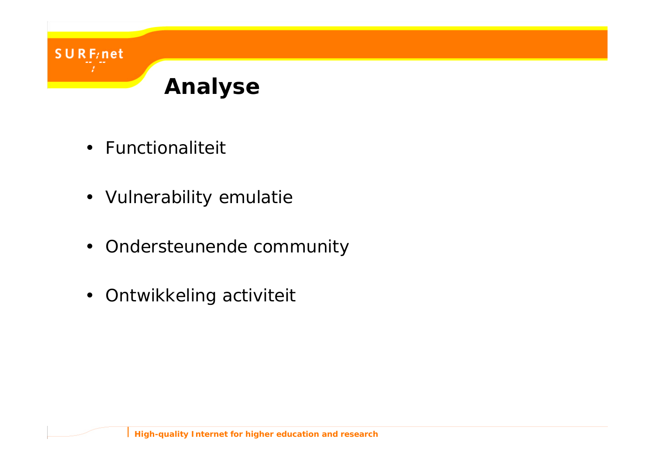

• Functionaliteit

- Vulnerability emulatie
- Ondersteunende community
- Ontwikkeling activiteit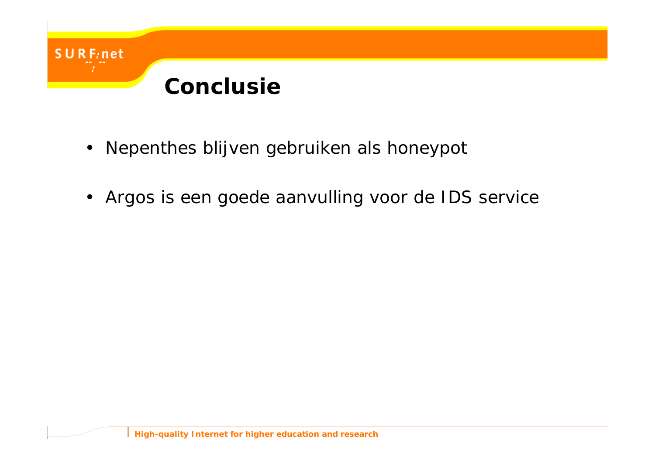

 $UR$  F<sub>/</sub>net

- Nepenthes blijven gebruiken als honeypot
- Argos is een goede aanvulling voor de IDS service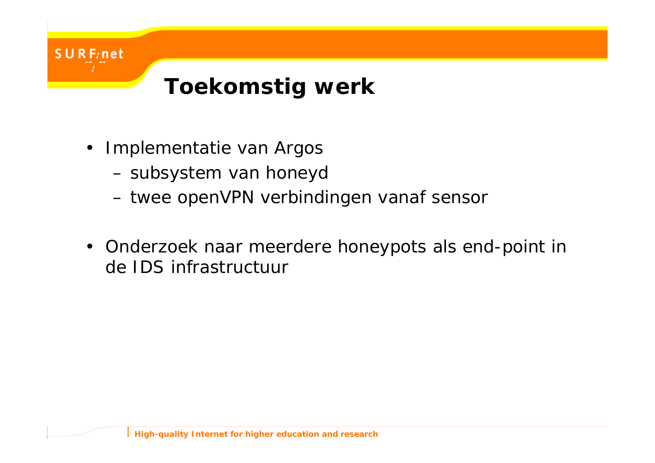

• Implementatie van Argos

- subsystem van honeyd
- twee openVPN verbindingen vanaf sensor
- Onderzoek naar meerdere honeypots als end-point in de IDS infrastructuur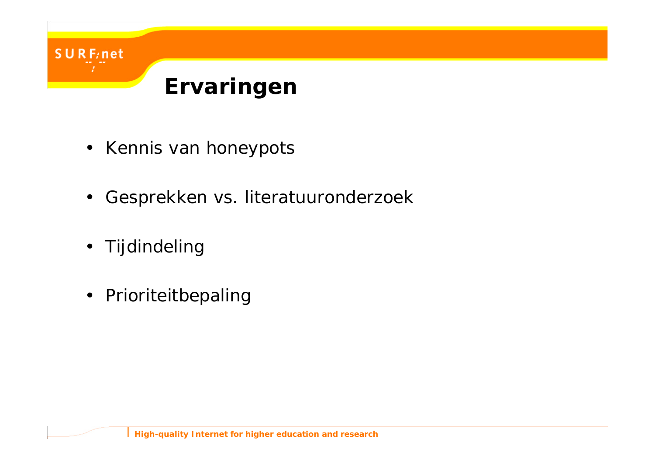

- Kennis van honeypots
- Gesprekken vs. literatuuronderzoek
- Tijdindeling

URF/net

• Prioriteitbepaling